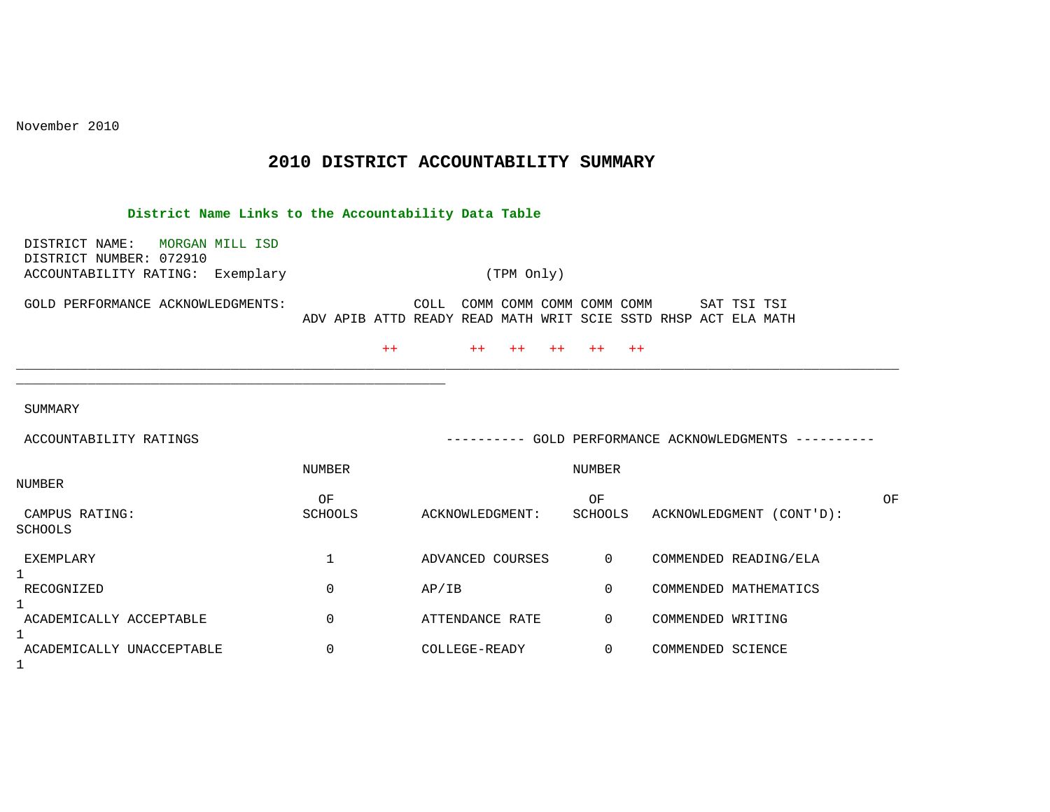November 2010

## **2010 DISTRICT ACCOUNTABILITY SUMMARY**

| District Name Links to the Accountability Data Table         |                  |                                                                                                    |                |                                                     |    |  |  |  |  |
|--------------------------------------------------------------|------------------|----------------------------------------------------------------------------------------------------|----------------|-----------------------------------------------------|----|--|--|--|--|
| DISTRICT NAME:<br>MORGAN MILL ISD<br>DISTRICT NUMBER: 072910 |                  |                                                                                                    |                |                                                     |    |  |  |  |  |
| ACCOUNTABILITY RATING: Exemplary                             | (TPM Only)       |                                                                                                    |                |                                                     |    |  |  |  |  |
| GOLD PERFORMANCE ACKNOWLEDGMENTS:                            |                  | COLL<br>COMM COMM COMM COMM COMM<br>ADV APIB ATTD READY READ MATH WRIT SCIE SSTD RHSP ACT ELA MATH |                | SAT TSI TSI                                         |    |  |  |  |  |
|                                                              |                  | $++$<br>$+ +$<br>$++$<br>$++$                                                                      | $++$<br>$++$   |                                                     |    |  |  |  |  |
|                                                              |                  |                                                                                                    |                |                                                     |    |  |  |  |  |
| SUMMARY                                                      |                  |                                                                                                    |                |                                                     |    |  |  |  |  |
| ACCOUNTABILITY RATINGS                                       |                  |                                                                                                    |                | ---------- GOLD PERFORMANCE ACKNOWLEDGMENTS ------- |    |  |  |  |  |
|                                                              | NUMBER<br>NUMBER |                                                                                                    |                |                                                     |    |  |  |  |  |
| <b>NUMBER</b>                                                | OF               |                                                                                                    | OF             |                                                     | OF |  |  |  |  |
| CAMPUS RATING:<br><b>SCHOOLS</b>                             | <b>SCHOOLS</b>   | ACKNOWLEDGMENT:                                                                                    | SCHOOLS        | ACKNOWLEDGMENT (CONT'D):                            |    |  |  |  |  |
| EXEMPLARY<br>$\mathbf{1}$                                    | 1                | ADVANCED COURSES                                                                                   | $\overline{0}$ | COMMENDED READING/ELA                               |    |  |  |  |  |
| RECOGNIZED                                                   | $\mathbf 0$      | AP/IB                                                                                              | $\mathbf 0$    | COMMENDED MATHEMATICS                               |    |  |  |  |  |
| 1<br>ACADEMICALLY ACCEPTABLE<br>1                            | $\mathbf 0$      | ATTENDANCE RATE                                                                                    | $\mathbf 0$    | COMMENDED WRITING                                   |    |  |  |  |  |
| ACADEMICALLY UNACCEPTABLE<br>$\mathbf 1$                     | 0                | COLLEGE-READY                                                                                      | $\mathbf 0$    | COMMENDED SCIENCE                                   |    |  |  |  |  |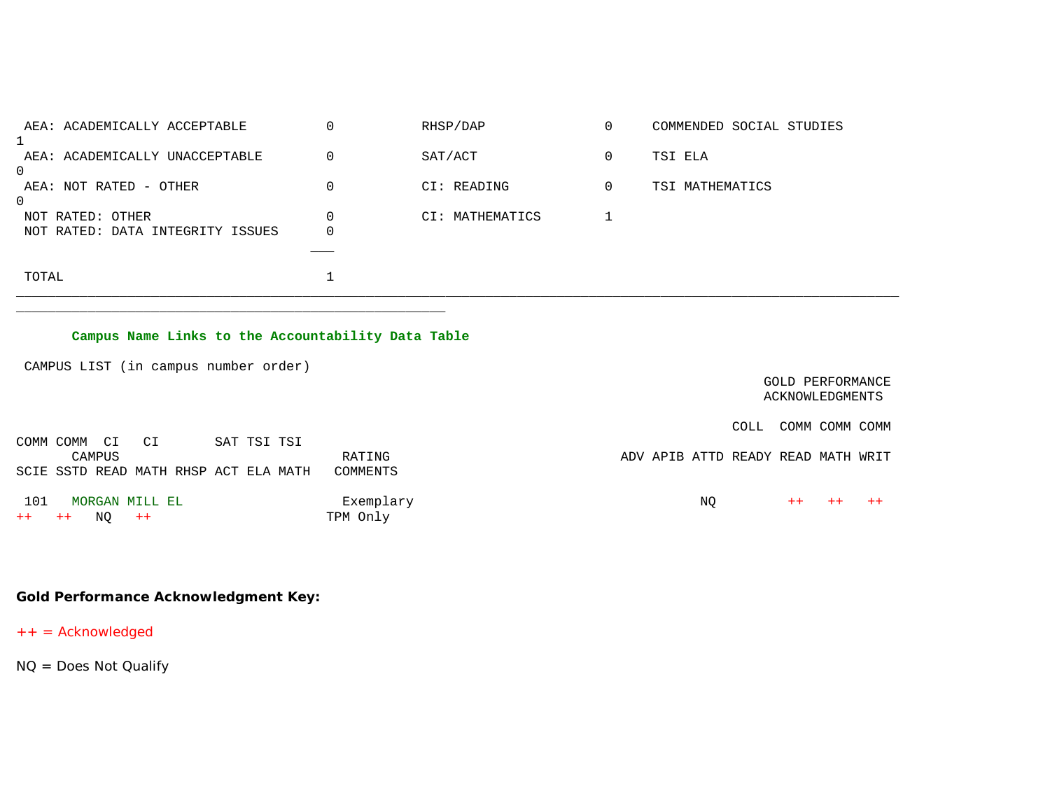|       | AEA: ACADEMICALLY ACCEPTABLE                         | 0      | RHSP/DAP        | 0 | COMMENDED SOCIAL STUDIES |
|-------|------------------------------------------------------|--------|-----------------|---|--------------------------|
|       | AEA: ACADEMICALLY UNACCEPTABLE                       | 0      | SAT/ACT         | 0 | TSI ELA                  |
| 0     | AEA: NOT RATED - OTHER                               | 0      | CI: READING     | 0 | TSI MATHEMATICS          |
| 0     | NOT RATED: OTHER<br>NOT RATED: DATA INTEGRITY ISSUES | 0<br>0 | CI: MATHEMATICS |   |                          |
|       |                                                      |        |                 |   |                          |
| TOTAL |                                                      |        |                 |   |                          |

## **Campus Name Links to the Accountability Data Table**

\_\_\_\_\_\_\_\_\_\_\_\_\_\_\_\_\_\_\_\_\_\_\_\_\_\_\_\_\_\_\_\_\_\_\_\_\_\_\_\_\_\_\_\_\_\_\_\_\_\_\_\_\_\_

CAMPUS LIST (in campus number order)

COMM COMM CI CI SAT TSI TSI

 GOLD PERFORMANCE ACKNOWLEDGMENTS

COLL COMM COMM COMM

CAMPUS COMPUS CAMPUS RATING RATING RATH ADV APIB ATTD READY READ MATH WRIT SCIE SSTD READ MATH RHSP ACT ELA MATH COMMENTS 101 MORGAN MILL EL Exemplary NQ ++ ++ ++

**Gold Performance Acknowledgment Key:**

++ = Acknowledged

 $++$   $++$  NQ  $++$ 

NQ = Does Not Qualify